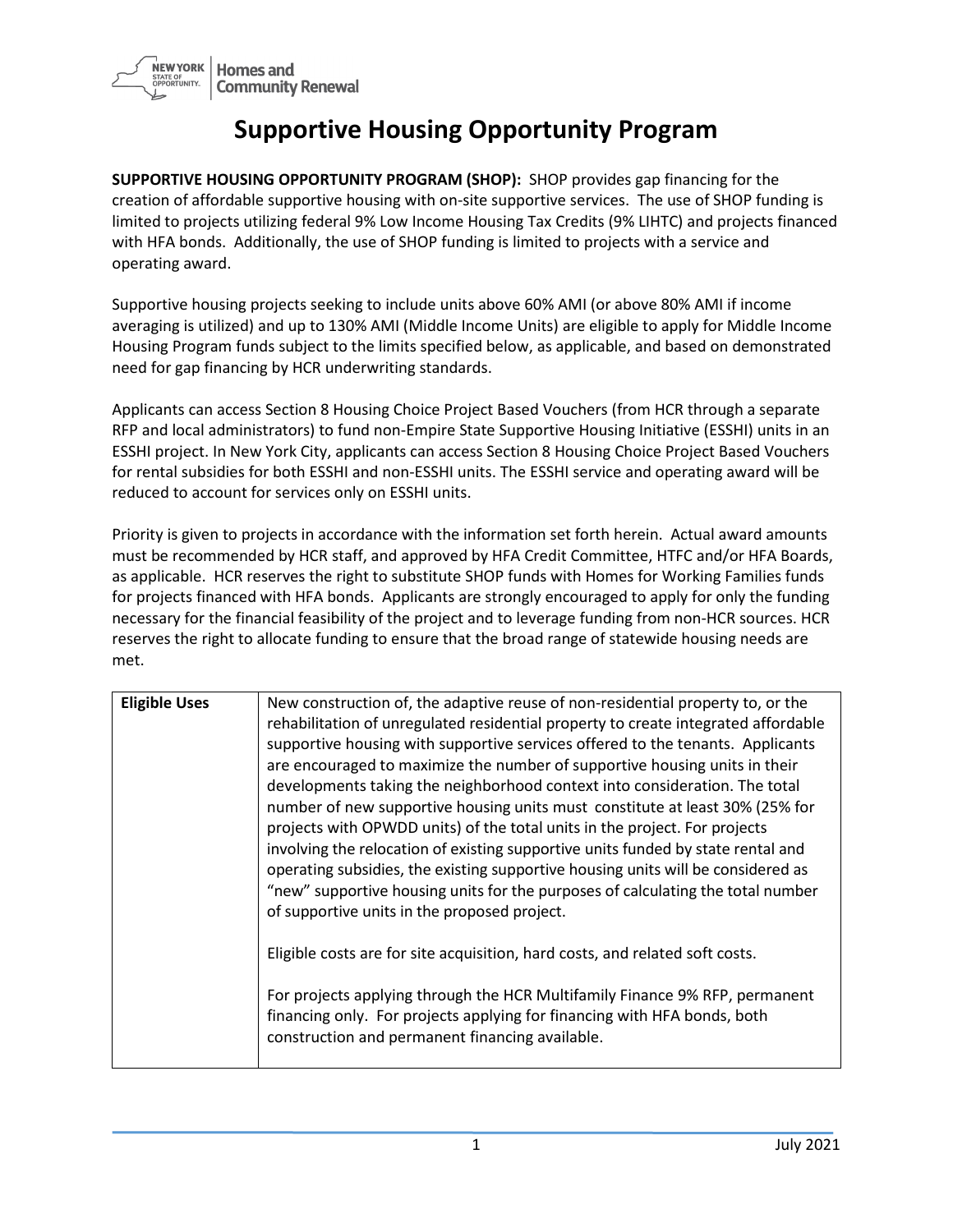

## **Supportive Housing Opportunity Program**

**SUPPORTIVE HOUSING OPPORTUNITY PROGRAM (SHOP):** SHOP provides gap financing for the creation of affordable supportive housing with on-site supportive services. The use of SHOP funding is limited to projects utilizing federal 9% Low Income Housing Tax Credits (9% LIHTC) and projects financed with HFA bonds. Additionally, the use of SHOP funding is limited to projects with a service and operating award.

Supportive housing projects seeking to include units above 60% AMI (or above 80% AMI if income averaging is utilized) and up to 130% AMI (Middle Income Units) are eligible to apply for Middle Income Housing Program funds subject to the limits specified below, as applicable, and based on demonstrated need for gap financing by HCR underwriting standards.

Applicants can access Section 8 Housing Choice Project Based Vouchers (from HCR through a separate RFP and local administrators) to fund non-Empire State Supportive Housing Initiative (ESSHI) units in an ESSHI project. In New York City, applicants can access Section 8 Housing Choice Project Based Vouchers for rental subsidies for both ESSHI and non-ESSHI units. The ESSHI service and operating award will be reduced to account for services only on ESSHI units.

Priority is given to projects in accordance with the information set forth herein. Actual award amounts must be recommended by HCR staff, and approved by HFA Credit Committee, HTFC and/or HFA Boards, as applicable. HCR reserves the right to substitute SHOP funds with Homes for Working Families funds for projects financed with HFA bonds. Applicants are strongly encouraged to apply for only the funding necessary for the financial feasibility of the project and to leverage funding from non-HCR sources. HCR reserves the right to allocate funding to ensure that the broad range of statewide housing needs are met.

| <b>Eligible Uses</b> | New construction of, the adaptive reuse of non-residential property to, or the     |
|----------------------|------------------------------------------------------------------------------------|
|                      | rehabilitation of unregulated residential property to create integrated affordable |
|                      | supportive housing with supportive services offered to the tenants. Applicants     |
|                      | are encouraged to maximize the number of supportive housing units in their         |
|                      |                                                                                    |
|                      | developments taking the neighborhood context into consideration. The total         |
|                      | number of new supportive housing units must constitute at least 30% (25% for       |
|                      | projects with OPWDD units) of the total units in the project. For projects         |
|                      |                                                                                    |
|                      | involving the relocation of existing supportive units funded by state rental and   |
|                      | operating subsidies, the existing supportive housing units will be considered as   |
|                      | "new" supportive housing units for the purposes of calculating the total number    |
|                      | of supportive units in the proposed project.                                       |
|                      |                                                                                    |
|                      |                                                                                    |
|                      | Eligible costs are for site acquisition, hard costs, and related soft costs.       |
|                      |                                                                                    |
|                      | For projects applying through the HCR Multifamily Finance 9% RFP, permanent        |
|                      | financing only. For projects applying for financing with HFA bonds, both           |
|                      |                                                                                    |
|                      | construction and permanent financing available.                                    |
|                      |                                                                                    |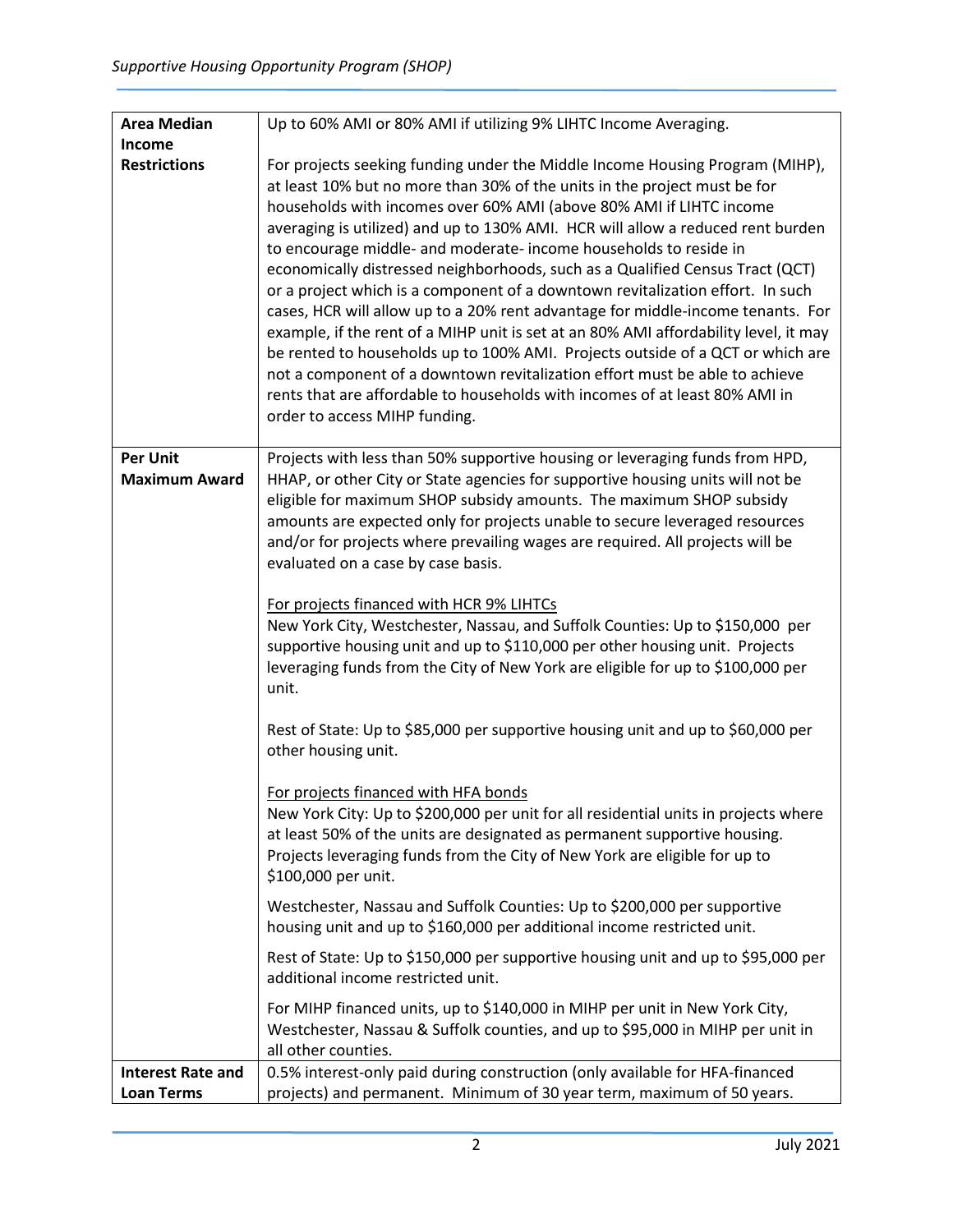| <b>Area Median</b>       | Up to 60% AMI or 80% AMI if utilizing 9% LIHTC Income Averaging.                                                                                          |
|--------------------------|-----------------------------------------------------------------------------------------------------------------------------------------------------------|
| <b>Income</b>            |                                                                                                                                                           |
| <b>Restrictions</b>      | For projects seeking funding under the Middle Income Housing Program (MIHP),<br>at least 10% but no more than 30% of the units in the project must be for |
|                          | households with incomes over 60% AMI (above 80% AMI if LIHTC income                                                                                       |
|                          | averaging is utilized) and up to 130% AMI. HCR will allow a reduced rent burden                                                                           |
|                          | to encourage middle- and moderate- income households to reside in                                                                                         |
|                          | economically distressed neighborhoods, such as a Qualified Census Tract (QCT)                                                                             |
|                          | or a project which is a component of a downtown revitalization effort. In such                                                                            |
|                          | cases, HCR will allow up to a 20% rent advantage for middle-income tenants. For                                                                           |
|                          | example, if the rent of a MIHP unit is set at an 80% AMI affordability level, it may                                                                      |
|                          | be rented to households up to 100% AMI. Projects outside of a QCT or which are                                                                            |
|                          | not a component of a downtown revitalization effort must be able to achieve                                                                               |
|                          | rents that are affordable to households with incomes of at least 80% AMI in                                                                               |
|                          | order to access MIHP funding.                                                                                                                             |
|                          |                                                                                                                                                           |
| <b>Per Unit</b>          | Projects with less than 50% supportive housing or leveraging funds from HPD,                                                                              |
| <b>Maximum Award</b>     | HHAP, or other City or State agencies for supportive housing units will not be                                                                            |
|                          | eligible for maximum SHOP subsidy amounts. The maximum SHOP subsidy                                                                                       |
|                          | amounts are expected only for projects unable to secure leveraged resources                                                                               |
|                          | and/or for projects where prevailing wages are required. All projects will be                                                                             |
|                          | evaluated on a case by case basis.                                                                                                                        |
|                          |                                                                                                                                                           |
|                          | For projects financed with HCR 9% LIHTCs                                                                                                                  |
|                          | New York City, Westchester, Nassau, and Suffolk Counties: Up to \$150,000 per                                                                             |
|                          | supportive housing unit and up to \$110,000 per other housing unit. Projects                                                                              |
|                          | leveraging funds from the City of New York are eligible for up to \$100,000 per                                                                           |
|                          | unit.                                                                                                                                                     |
|                          | Rest of State: Up to \$85,000 per supportive housing unit and up to \$60,000 per                                                                          |
|                          | other housing unit.                                                                                                                                       |
|                          |                                                                                                                                                           |
|                          | For projects financed with HFA bonds                                                                                                                      |
|                          | New York City: Up to \$200,000 per unit for all residential units in projects where                                                                       |
|                          | at least 50% of the units are designated as permanent supportive housing.                                                                                 |
|                          | Projects leveraging funds from the City of New York are eligible for up to                                                                                |
|                          | \$100,000 per unit.                                                                                                                                       |
|                          | Westchester, Nassau and Suffolk Counties: Up to \$200,000 per supportive                                                                                  |
|                          | housing unit and up to \$160,000 per additional income restricted unit.                                                                                   |
|                          |                                                                                                                                                           |
|                          | Rest of State: Up to \$150,000 per supportive housing unit and up to \$95,000 per                                                                         |
|                          | additional income restricted unit.                                                                                                                        |
|                          | For MIHP financed units, up to \$140,000 in MIHP per unit in New York City,                                                                               |
|                          | Westchester, Nassau & Suffolk counties, and up to \$95,000 in MIHP per unit in                                                                            |
|                          | all other counties.                                                                                                                                       |
| <b>Interest Rate and</b> | 0.5% interest-only paid during construction (only available for HFA-financed                                                                              |
| <b>Loan Terms</b>        | projects) and permanent. Minimum of 30 year term, maximum of 50 years.                                                                                    |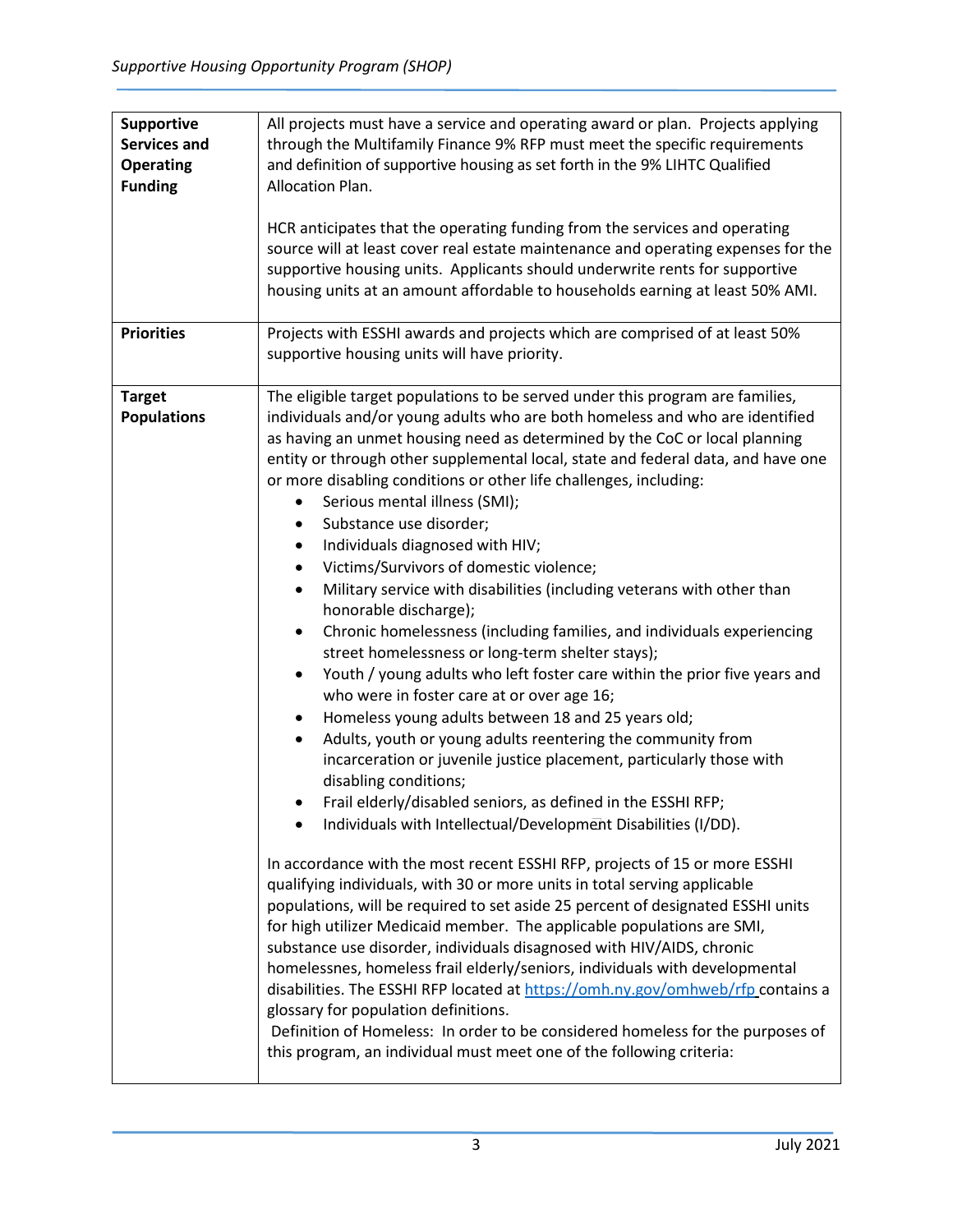| <b>Supportive</b><br><b>Services and</b><br><b>Operating</b><br><b>Funding</b><br><b>Priorities</b> | All projects must have a service and operating award or plan. Projects applying<br>through the Multifamily Finance 9% RFP must meet the specific requirements<br>and definition of supportive housing as set forth in the 9% LIHTC Qualified<br>Allocation Plan.<br>HCR anticipates that the operating funding from the services and operating<br>source will at least cover real estate maintenance and operating expenses for the<br>supportive housing units. Applicants should underwrite rents for supportive<br>housing units at an amount affordable to households earning at least 50% AMI.<br>Projects with ESSHI awards and projects which are comprised of at least 50%<br>supportive housing units will have priority.                                                                                                                                                                                                                                                                                                                                                                                                                                                                                                                                                                                                                                                                                                                                                                                                                                                                                                                                                                                                                                                                                                                                                                                                                                                                                                                                                                           |
|-----------------------------------------------------------------------------------------------------|--------------------------------------------------------------------------------------------------------------------------------------------------------------------------------------------------------------------------------------------------------------------------------------------------------------------------------------------------------------------------------------------------------------------------------------------------------------------------------------------------------------------------------------------------------------------------------------------------------------------------------------------------------------------------------------------------------------------------------------------------------------------------------------------------------------------------------------------------------------------------------------------------------------------------------------------------------------------------------------------------------------------------------------------------------------------------------------------------------------------------------------------------------------------------------------------------------------------------------------------------------------------------------------------------------------------------------------------------------------------------------------------------------------------------------------------------------------------------------------------------------------------------------------------------------------------------------------------------------------------------------------------------------------------------------------------------------------------------------------------------------------------------------------------------------------------------------------------------------------------------------------------------------------------------------------------------------------------------------------------------------------------------------------------------------------------------------------------------------------|
| <b>Target</b><br><b>Populations</b>                                                                 | The eligible target populations to be served under this program are families,<br>individuals and/or young adults who are both homeless and who are identified<br>as having an unmet housing need as determined by the CoC or local planning<br>entity or through other supplemental local, state and federal data, and have one<br>or more disabling conditions or other life challenges, including:<br>Serious mental illness (SMI);<br>٠<br>Substance use disorder;<br>٠<br>Individuals diagnosed with HIV;<br>٠<br>Victims/Survivors of domestic violence;<br>$\bullet$<br>Military service with disabilities (including veterans with other than<br>$\bullet$<br>honorable discharge);<br>Chronic homelessness (including families, and individuals experiencing<br>٠<br>street homelessness or long-term shelter stays);<br>Youth / young adults who left foster care within the prior five years and<br>٠<br>who were in foster care at or over age 16;<br>Homeless young adults between 18 and 25 years old;<br>٠<br>Adults, youth or young adults reentering the community from<br>$\bullet$<br>incarceration or juvenile justice placement, particularly those with<br>disabling conditions;<br>Frail elderly/disabled seniors, as defined in the ESSHI RFP;<br>Individuals with Intellectual/Development Disabilities (I/DD).<br>In accordance with the most recent ESSHI RFP, projects of 15 or more ESSHI<br>qualifying individuals, with 30 or more units in total serving applicable<br>populations, will be required to set aside 25 percent of designated ESSHI units<br>for high utilizer Medicaid member. The applicable populations are SMI,<br>substance use disorder, individuals disagnosed with HIV/AIDS, chronic<br>homelessnes, homeless frail elderly/seniors, individuals with developmental<br>disabilities. The ESSHI RFP located at https://omh.ny.gov/omhweb/rfp contains a<br>glossary for population definitions.<br>Definition of Homeless: In order to be considered homeless for the purposes of<br>this program, an individual must meet one of the following criteria: |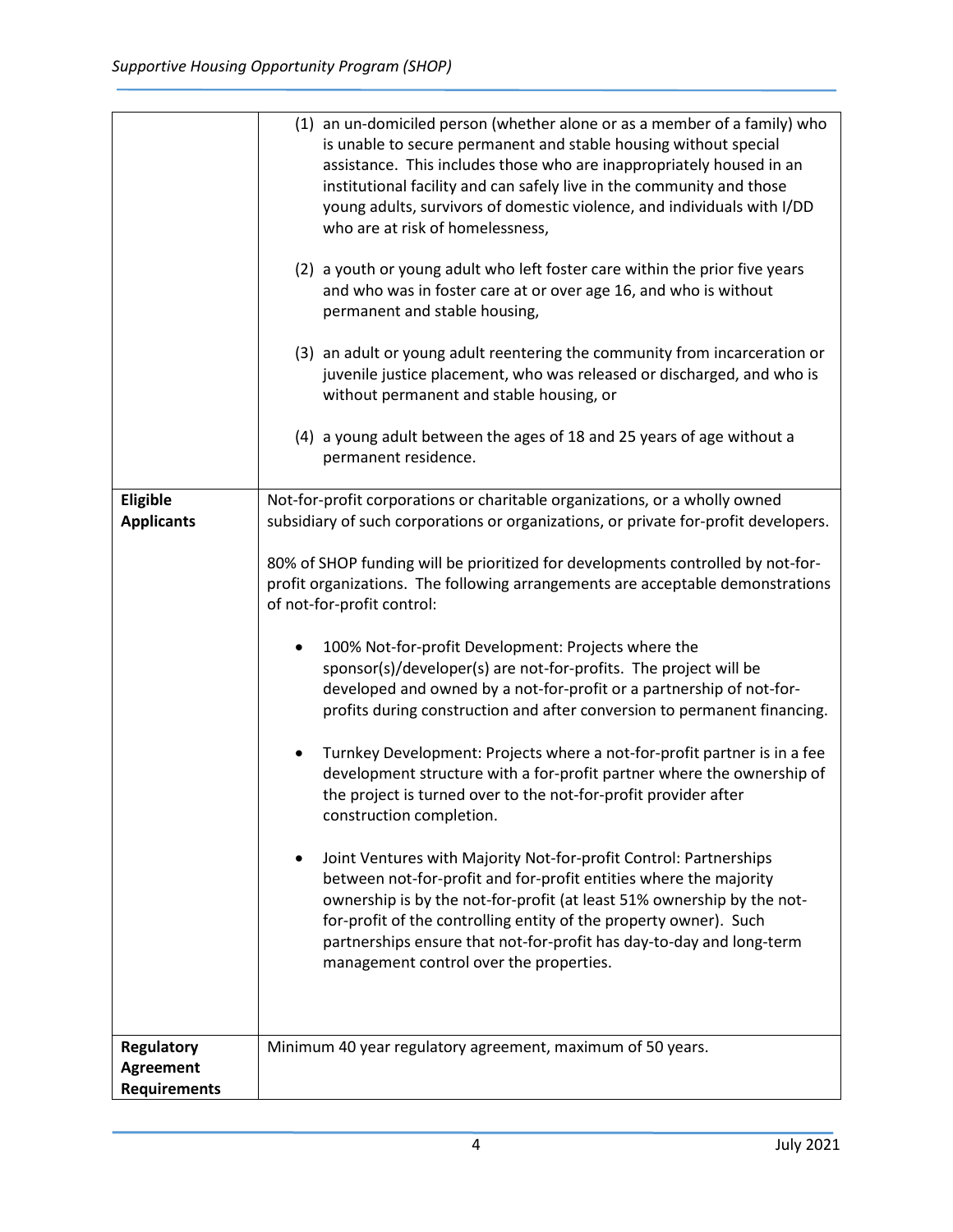|                     | (1) an un-domiciled person (whether alone or as a member of a family) who           |
|---------------------|-------------------------------------------------------------------------------------|
|                     | is unable to secure permanent and stable housing without special                    |
|                     | assistance. This includes those who are inappropriately housed in an                |
|                     | institutional facility and can safely live in the community and those               |
|                     | young adults, survivors of domestic violence, and individuals with I/DD             |
|                     | who are at risk of homelessness,                                                    |
|                     |                                                                                     |
|                     | (2) a youth or young adult who left foster care within the prior five years         |
|                     | and who was in foster care at or over age 16, and who is without                    |
|                     | permanent and stable housing,                                                       |
|                     | (3) an adult or young adult reentering the community from incarceration or          |
|                     | juvenile justice placement, who was released or discharged, and who is              |
|                     | without permanent and stable housing, or                                            |
|                     |                                                                                     |
|                     | (4) a young adult between the ages of 18 and 25 years of age without a              |
|                     | permanent residence.                                                                |
| Eligible            | Not-for-profit corporations or charitable organizations, or a wholly owned          |
| <b>Applicants</b>   | subsidiary of such corporations or organizations, or private for-profit developers. |
|                     |                                                                                     |
|                     | 80% of SHOP funding will be prioritized for developments controlled by not-for-     |
|                     | profit organizations. The following arrangements are acceptable demonstrations      |
|                     | of not-for-profit control:                                                          |
|                     |                                                                                     |
|                     | 100% Not-for-profit Development: Projects where the                                 |
|                     | sponsor(s)/developer(s) are not-for-profits. The project will be                    |
|                     | developed and owned by a not-for-profit or a partnership of not-for-                |
|                     | profits during construction and after conversion to permanent financing.            |
|                     | Turnkey Development: Projects where a not-for-profit partner is in a fee            |
|                     | development structure with a for-profit partner where the ownership of              |
|                     | the project is turned over to the not-for-profit provider after                     |
|                     | construction completion.                                                            |
|                     |                                                                                     |
|                     | Joint Ventures with Majority Not-for-profit Control: Partnerships                   |
|                     | between not-for-profit and for-profit entities where the majority                   |
|                     | ownership is by the not-for-profit (at least 51% ownership by the not-              |
|                     | for-profit of the controlling entity of the property owner). Such                   |
|                     | partnerships ensure that not-for-profit has day-to-day and long-term                |
|                     | management control over the properties.                                             |
|                     |                                                                                     |
|                     |                                                                                     |
| <b>Regulatory</b>   | Minimum 40 year regulatory agreement, maximum of 50 years.                          |
| <b>Agreement</b>    |                                                                                     |
| <b>Requirements</b> |                                                                                     |